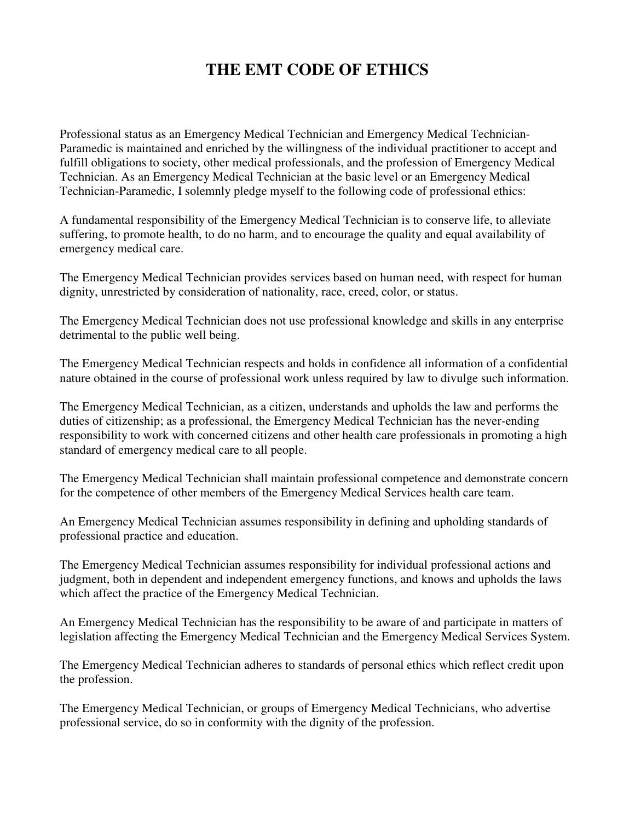## **THE EMT CODE OF ETHICS**

Professional status as an Emergency Medical Technician and Emergency Medical Technician-Paramedic is maintained and enriched by the willingness of the individual practitioner to accept and fulfill obligations to society, other medical professionals, and the profession of Emergency Medical Technician. As an Emergency Medical Technician at the basic level or an Emergency Medical Technician-Paramedic, I solemnly pledge myself to the following code of professional ethics:

A fundamental responsibility of the Emergency Medical Technician is to conserve life, to alleviate suffering, to promote health, to do no harm, and to encourage the quality and equal availability of emergency medical care.

The Emergency Medical Technician provides services based on human need, with respect for human dignity, unrestricted by consideration of nationality, race, creed, color, or status.

The Emergency Medical Technician does not use professional knowledge and skills in any enterprise detrimental to the public well being.

The Emergency Medical Technician respects and holds in confidence all information of a confidential nature obtained in the course of professional work unless required by law to divulge such information.

The Emergency Medical Technician, as a citizen, understands and upholds the law and performs the duties of citizenship; as a professional, the Emergency Medical Technician has the never-ending responsibility to work with concerned citizens and other health care professionals in promoting a high standard of emergency medical care to all people.

The Emergency Medical Technician shall maintain professional competence and demonstrate concern for the competence of other members of the Emergency Medical Services health care team.

An Emergency Medical Technician assumes responsibility in defining and upholding standards of professional practice and education.

The Emergency Medical Technician assumes responsibility for individual professional actions and judgment, both in dependent and independent emergency functions, and knows and upholds the laws which affect the practice of the Emergency Medical Technician.

An Emergency Medical Technician has the responsibility to be aware of and participate in matters of legislation affecting the Emergency Medical Technician and the Emergency Medical Services System.

The Emergency Medical Technician adheres to standards of personal ethics which reflect credit upon the profession.

The Emergency Medical Technician, or groups of Emergency Medical Technicians, who advertise professional service, do so in conformity with the dignity of the profession.